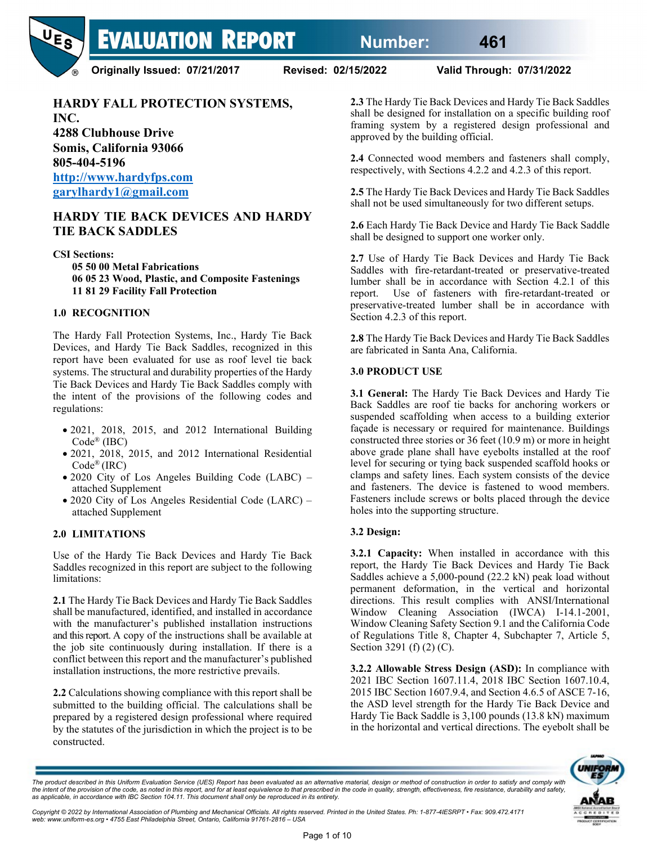

**Originally Issued: 07/21/2017 Revised: 02/15/2022 Valid Through: 07/31/2022**

# **HARDY FALL PROTECTION SYSTEMS,**

**INC. 4288 Clubhouse Drive Somis, California 93066 805-404-5196**

**[http://www.hardyfps.com](http://www.hardyfps.com/) [garylhardy1@gmail.com](mailto:garylhardy1@gmail.com)**

### **HARDY TIE BACK DEVICES AND HARDY TIE BACK SADDLES**

**CSI Sections: 05 50 00 Metal Fabrications 06 05 23 Wood, Plastic, and Composite Fastenings 11 81 29 Facility Fall Protection**

#### **1.0 RECOGNITION**

The Hardy Fall Protection Systems, Inc., Hardy Tie Back Devices, and Hardy Tie Back Saddles, recognized in this report have been evaluated for use as roof level tie back systems. The structural and durability properties of the Hardy Tie Back Devices and Hardy Tie Back Saddles comply with the intent of the provisions of the following codes and regulations:

- 2021, 2018, 2015, and 2012 International Building Code® (IBC)
- 2021, 2018, 2015, and 2012 International Residential Code® (IRC)
- 2020 City of Los Angeles Building Code (LABC) attached Supplement
- 2020 City of Los Angeles Residential Code (LARC) attached Supplement

#### **2.0 LIMITATIONS**

Use of the Hardy Tie Back Devices and Hardy Tie Back Saddles recognized in this report are subject to the following limitations:

**2.1** The Hardy Tie Back Devices and Hardy Tie Back Saddles shall be manufactured, identified, and installed in accordance with the manufacturer's published installation instructions and this report. A copy of the instructions shall be available at the job site continuously during installation. If there is a conflict between this report and the manufacturer's published installation instructions, the more restrictive prevails.

**2.2** Calculations showing compliance with this report shall be submitted to the building official. The calculations shall be prepared by a registered design professional where required by the statutes of the jurisdiction in which the project is to be constructed.

**2.3** The Hardy Tie Back Devices and Hardy Tie Back Saddles shall be designed for installation on a specific building roof framing system by a registered design professional and approved by the building official.

**2.4** Connected wood members and fasteners shall comply, respectively, with Sections 4.2.2 and 4.2.3 of this report.

**2.5** The Hardy Tie Back Devices and Hardy Tie Back Saddles shall not be used simultaneously for two different setups.

**2.6** Each Hardy Tie Back Device and Hardy Tie Back Saddle shall be designed to support one worker only.

**2.7** Use of Hardy Tie Back Devices and Hardy Tie Back Saddles with fire-retardant-treated or preservative-treated lumber shall be in accordance with Section 4.2.1 of this report. Use of fasteners with fire-retardant-treated or preservative-treated lumber shall be in accordance with Section 4.2.3 of this report.

**2.8** The Hardy Tie Back Devices and Hardy Tie Back Saddles are fabricated in Santa Ana, California.

#### **3.0 PRODUCT USE**

**3.1 General:** The Hardy Tie Back Devices and Hardy Tie Back Saddles are roof tie backs for anchoring workers or suspended scaffolding when access to a building exterior façade is necessary or required for maintenance. Buildings constructed three stories or 36 feet (10.9 m) or more in height above grade plane shall have eyebolts installed at the roof level for securing or tying back suspended scaffold hooks or clamps and safety lines. Each system consists of the device and fasteners. The device is fastened to wood members. Fasteners include screws or bolts placed through the device holes into the supporting structure.

#### **3.2 Design:**

**3.2.1 Capacity:** When installed in accordance with this report, the Hardy Tie Back Devices and Hardy Tie Back Saddles achieve a 5,000-pound (22.2 kN) peak load without permanent deformation, in the vertical and horizontal directions. This result complies with ANSI/International Window Cleaning Association (IWCA) I-14.1-2001, Window Cleaning Safety Section 9.1 and the California Code of Regulations Title 8, Chapter 4, Subchapter 7, Article 5, Section 3291 (f) (2) (C).

**3.2.2 Allowable Stress Design (ASD):** In compliance with 2021 IBC Section 1607.11.4, 2018 IBC Section 1607.10.4, 2015 IBC Section 1607.9.4, and Section 4.6.5 of ASCE 7-16, the ASD level strength for the Hardy Tie Back Device and Hardy Tie Back Saddle is 3,100 pounds (13.8 kN) maximum in the horizontal and vertical directions. The eyebolt shall be



The product described in this Uniform Evaluation Service (UES) Report has been evaluated as an alternative material, design or method of construction in order to satisfy and comply with the intent of the provision of the code, as noted in this report, and for at least equivalence to that prescribed in the code in quality, strength, effectiveness, fire resistance, durability and safety,<br>as applicable, in a

Copyright © 2022 by International Association of Plumbing and Mechanical Officials. All rights reserved. Printed in the United States. Ph: 1-877-4IESRPT • Fax: 909.472.4171<br>web: www.uniform-es.org • 4755 East Philadelphia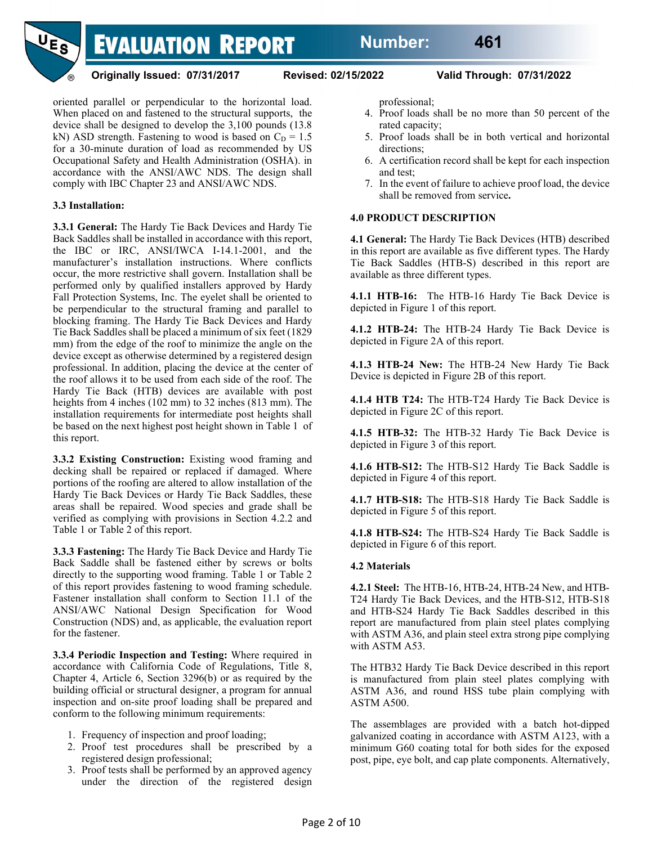

**Originally Issued: 07/31/2017 Revised: 02/15/2022 Valid Through: 07/31/2022**

oriented parallel or perpendicular to the horizontal load. When placed on and fastened to the structural supports, the device shall be designed to develop the 3,100 pounds (13.8 kN) ASD strength. Fastening to wood is based on  $C<sub>D</sub> = 1.5$ for a 30-minute duration of load as recommended by US Occupational Safety and Health Administration (OSHA). in accordance with the ANSI/AWC NDS. The design shall comply with IBC Chapter 23 and ANSI/AWC NDS.

### **3.3 Installation:**

**3.3.1 General:** The Hardy Tie Back Devices and Hardy Tie Back Saddles shall be installed in accordance with this report, the IBC or IRC, ANSI/IWCA I-14.1-2001, and the manufacturer's installation instructions. Where conflicts occur, the more restrictive shall govern. Installation shall be performed only by qualified installers approved by Hardy Fall Protection Systems, Inc. The eyelet shall be oriented to be perpendicular to the structural framing and parallel to blocking framing. The Hardy Tie Back Devices and Hardy Tie Back Saddles shall be placed a minimum of six feet (1829 mm) from the edge of the roof to minimize the angle on the device except as otherwise determined by a registered design professional. In addition, placing the device at the center of the roof allows it to be used from each side of the roof. The Hardy Tie Back (HTB) devices are available with post heights from 4 inches (102 mm) to 32 inches (813 mm). The installation requirements for intermediate post heights shall be based on the next highest post height shown in Table 1 of this report.

**3.3.2 Existing Construction:** Existing wood framing and decking shall be repaired or replaced if damaged. Where portions of the roofing are altered to allow installation of the Hardy Tie Back Devices or Hardy Tie Back Saddles, these areas shall be repaired. Wood species and grade shall be verified as complying with provisions in Section 4.2.2 and Table 1 or Table 2 of this report.

**3.3.3 Fastening:** The Hardy Tie Back Device and Hardy Tie Back Saddle shall be fastened either by screws or bolts directly to the supporting wood framing. Table 1 or Table 2 of this report provides fastening to wood framing schedule. Fastener installation shall conform to Section 11.1 of the ANSI/AWC National Design Specification for Wood Construction (NDS) and, as applicable, the evaluation report for the fastener.

**3.3.4 Periodic Inspection and Testing:** Where required in accordance with California Code of Regulations, Title 8, Chapter 4, Article 6, Section 3296(b) or as required by the building official or structural designer, a program for annual inspection and on-site proof loading shall be prepared and conform to the following minimum requirements:

- 1. Frequency of inspection and proof loading;
- 2. Proof test procedures shall be prescribed by a registered design professional;
- 3. Proof tests shall be performed by an approved agency under the direction of the registered design

professional;

- 4. Proof loads shall be no more than 50 percent of the rated capacity;
- 5. Proof loads shall be in both vertical and horizontal directions;
- 6. A certification record shall be kept for each inspection and test;
- 7. In the event of failure to achieve proof load, the device shall be removed from service**.**

#### **4.0 PRODUCT DESCRIPTION**

**4.1 General:** The Hardy Tie Back Devices (HTB) described in this report are available as five different types. The Hardy Tie Back Saddles (HTB-S) described in this report are available as three different types.

**4.1.1 HTB-16:** The HTB-16 Hardy Tie Back Device is depicted in Figure 1 of this report.

**4.1.2 HTB-24:** The HTB-24 Hardy Tie Back Device is depicted in Figure 2A of this report.

**4.1.3 HTB-24 New:** The HTB-24 New Hardy Tie Back Device is depicted in Figure 2B of this report.

**4.1.4 HTB T24:** The HTB-T24 Hardy Tie Back Device is depicted in Figure 2C of this report.

**4.1.5 HTB-32:** The HTB-32 Hardy Tie Back Device is depicted in Figure 3 of this report.

**4.1.6 HTB-S12:** The HTB-S12 Hardy Tie Back Saddle is depicted in Figure 4 of this report.

**4.1.7 HTB-S18:** The HTB-S18 Hardy Tie Back Saddle is depicted in Figure 5 of this report.

**4.1.8 HTB-S24:** The HTB-S24 Hardy Tie Back Saddle is depicted in Figure 6 of this report.

#### **4.2 Materials**

**4.2.1 Steel:** The HTB-16, HTB-24, HTB-24 New, and HTB-T24 Hardy Tie Back Devices, and the HTB-S12, HTB-S18 and HTB-S24 Hardy Tie Back Saddles described in this report are manufactured from plain steel plates complying with ASTM A36, and plain steel extra strong pipe complying with ASTM A53.

The HTB32 Hardy Tie Back Device described in this report is manufactured from plain steel plates complying with ASTM A36, and round HSS tube plain complying with ASTM A500.

The assemblages are provided with a batch hot-dipped galvanized coating in accordance with ASTM A123, with a minimum G60 coating total for both sides for the exposed post, pipe, eye bolt, and cap plate components. Alternatively,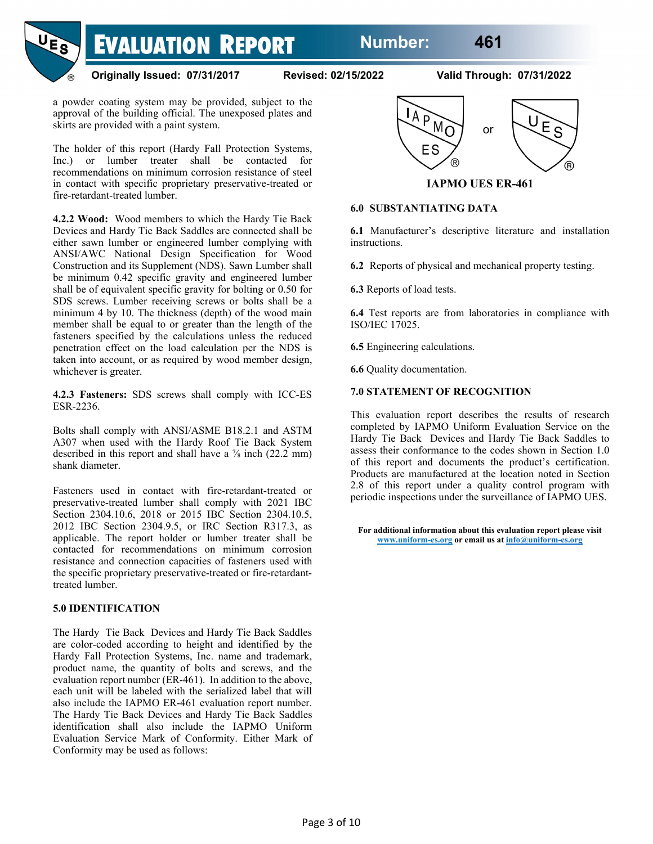# **Number: 461**



**Originally Issued: 07/31/2017 Revised: 02/15/2022 Valid Through: 07/31/2022**

a powder coating system may be provided, subject to the approval of the building official. The unexposed plates and skirts are provided with a paint system.

The holder of this report (Hardy Fall Protection Systems, Inc.) or lumber treater shall be contacted for recommendations on minimum corrosion resistance of steel in contact with specific proprietary preservative-treated or fire-retardant-treated lumber.

**4.2.2 Wood:** Wood members to which the Hardy Tie Back Devices and Hardy Tie Back Saddles are connected shall be either sawn lumber or engineered lumber complying with ANSI/AWC National Design Specification for Wood Construction and its Supplement (NDS). Sawn Lumber shall be minimum 0.42 specific gravity and engineered lumber shall be of equivalent specific gravity for bolting or 0.50 for SDS screws. Lumber receiving screws or bolts shall be a minimum 4 by 10. The thickness (depth) of the wood main member shall be equal to or greater than the length of the fasteners specified by the calculations unless the reduced penetration effect on the load calculation per the NDS is taken into account, or as required by wood member design, whichever is greater.

**4.2.3 Fasteners:** SDS screws shall comply with ICC-ES ESR-2236.

Bolts shall comply with ANSI/ASME B18.2.1 and ASTM A307 when used with the Hardy Roof Tie Back System described in this report and shall have a  $\frac{7}{8}$  inch (22.2 mm) shank diameter.

Fasteners used in contact with fire-retardant-treated or preservative-treated lumber shall comply with 2021 IBC Section 2304.10.6, 2018 or 2015 IBC Section 2304.10.5, 2012 IBC Section 2304.9.5, or IRC Section R317.3, as applicable. The report holder or lumber treater shall be contacted for recommendations on minimum corrosion resistance and connection capacities of fasteners used with the specific proprietary preservative-treated or fire-retardanttreated lumber.

#### **5.0 IDENTIFICATION**

The Hardy Tie Back Devices and Hardy Tie Back Saddles are color-coded according to height and identified by the Hardy Fall Protection Systems, Inc. name and trademark, product name, the quantity of bolts and screws, and the evaluation report number (ER-461). In addition to the above, each unit will be labeled with the serialized label that will also include the IAPMO ER-461 evaluation report number. The Hardy Tie Back Devices and Hardy Tie Back Saddles identification shall also include the IAPMO Uniform Evaluation Service Mark of Conformity. Either Mark of Conformity may be used as follows:



**IAPMO UES ER-461**

#### **6.0 SUBSTANTIATING DATA**

**6.1** Manufacturer's descriptive literature and installation instructions.

**6.2** Reports of physical and mechanical property testing.

**6.3** Reports of load tests.

**6.4** Test reports are from laboratories in compliance with ISO/IEC 17025.

**6.5** Engineering calculations.

**6.6** Quality documentation.

#### **7.0 STATEMENT OF RECOGNITION**

This evaluation report describes the results of research completed by IAPMO Uniform Evaluation Service on the Hardy Tie Back Devices and Hardy Tie Back Saddles to assess their conformance to the codes shown in Section 1.0 of this report and documents the product's certification. Products are manufactured at the location noted in Section 2.8 of this report under a quality control program with periodic inspections under the surveillance of IAPMO UES.

**For additional information about this evaluation report please visit www.uniform-es.org or email us a[t info@uniform-es.org](mailto:info@uniform-es.org)**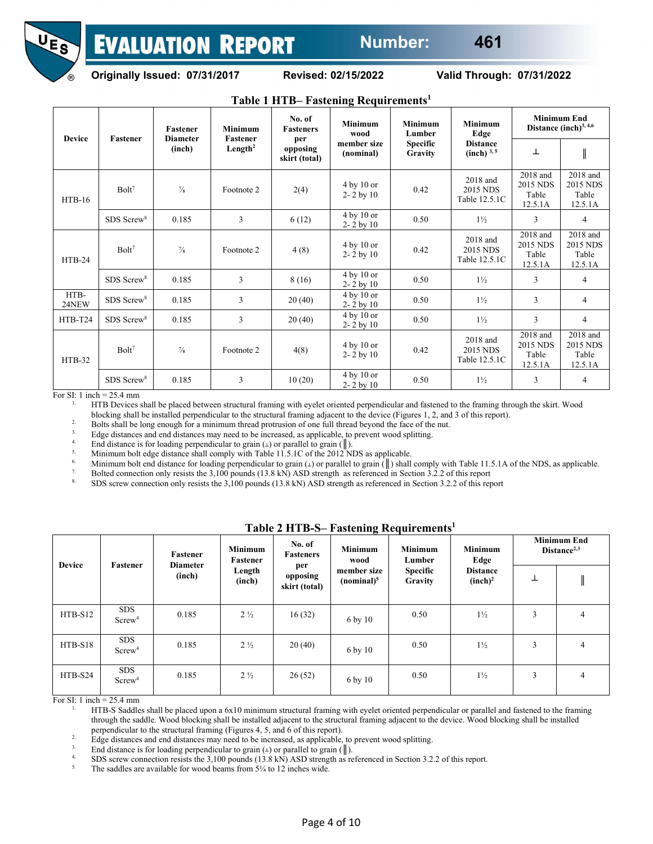

**Originally Issued: 07/31/2017 Revised: 02/15/2022 Valid Through: 07/31/2022**

|               |                          |                                              |                                                          |                                                                | -                                                  |                                                        |                                                                    |                                                 |                                          |
|---------------|--------------------------|----------------------------------------------|----------------------------------------------------------|----------------------------------------------------------------|----------------------------------------------------|--------------------------------------------------------|--------------------------------------------------------------------|-------------------------------------------------|------------------------------------------|
| <b>Device</b> | <b>Fastener</b>          | <b>Fastener</b><br><b>Diameter</b><br>(inch) | <b>Minimum</b><br><b>Fastener</b><br>Length <sup>2</sup> | No. of<br><b>Fasteners</b><br>per<br>opposing<br>skirt (total) | <b>Minimum</b><br>wood<br>member size<br>(nominal) | <b>Minimum</b><br>Lumber<br><b>Specific</b><br>Gravity | <b>Minimum</b><br>Edge<br><b>Distance</b><br>(inch) <sup>3,5</sup> | <b>Minimum End</b><br>Distance $(inch)^{3,4,6}$ |                                          |
|               |                          |                                              |                                                          |                                                                |                                                    |                                                        |                                                                    | ⊥                                               |                                          |
| $HTB-16$      | Bolt <sup>7</sup>        | $\frac{7}{8}$                                | Footnote 2                                               | 2(4)                                                           | 4 by 10 or<br>$2 - 2$ by 10                        | 0.42                                                   | 2018 and<br>2015 NDS<br>Table 12.5.1C                              | 2018 and<br>2015 NDS<br>Table<br>12.5.1A        | 2018 and<br>2015 NDS<br>Table<br>12.5.1A |
|               | $SDS$ Screw <sup>8</sup> | 0.185                                        | 3                                                        | 6(12)                                                          | 4 by 10 or<br>$2 - 2$ by 10                        | 0.50                                                   | $1\frac{1}{2}$                                                     | 3                                               | $\overline{4}$                           |
| $HTB-24$      | Bolt <sup>7</sup>        | $\frac{7}{8}$                                | Footnote 2                                               | 4(8)                                                           | 4 by 10 or<br>$2 - 2$ by 10                        | 0.42                                                   | 2018 and<br>2015 NDS<br>Table 12.5.1C                              | 2018 and<br>2015 NDS<br>Table<br>12.5.1A        | 2018 and<br>2015 NDS<br>Table<br>12.5.1A |
|               | SDS Screw <sup>8</sup>   | 0.185                                        | 3                                                        | 8 (16)                                                         | $4$ by $10$ or<br>$2 - 2$ by 10                    | 0.50                                                   | $1\frac{1}{2}$                                                     | 3                                               | $\overline{4}$                           |
| HTB-<br>24NEW | SDS Screw <sup>8</sup>   | 0.185                                        | 3                                                        | 20(40)                                                         | 4 by 10 or<br>$2 - 2$ by 10                        | 0.50                                                   | $1\frac{1}{2}$                                                     | 3                                               | $\overline{4}$                           |
| HTB-T24       | $SDS$ Screw <sup>8</sup> | 0.185                                        | 3                                                        | 20(40)                                                         | $4$ by $10$ or<br>$2 - 2$ by 10                    | 0.50                                                   | $1\frac{1}{2}$                                                     | 3                                               | $\overline{4}$                           |
| <b>HTB-32</b> | Bolt <sup>7</sup>        | $\frac{7}{8}$                                | Footnote 2                                               | 4(8)                                                           | 4 by 10 or<br>$2 - 2$ by 10                        | 0.42                                                   | 2018 and<br>2015 NDS<br>Table 12.5.1C                              | 2018 and<br>2015 NDS<br>Table<br>12.5.1A        | 2018 and<br>2015 NDS<br>Table<br>12.5.1A |
|               | SDS Screw <sup>8</sup>   | 0.185                                        | 3                                                        | 10(20)                                                         | 4 by 10 or<br>$2 - 2$ by 10                        | 0.50                                                   | $1\frac{1}{2}$                                                     | 3                                               | 4                                        |

**Table 1 HTB– Fastening Requirements1**

For SI: 1 inch = 25.4 mm

1. HTB Devices shall be placed between structural framing with eyelet oriented perpendicular and fastened to the framing through the skirt. Wood

blocking shall be installed perpendicular to the structural framing adjacent to the device (Figures 1, 2, and 3 of this report).

<sup>2</sup>. Bolts shall be long enough for a minimum thread protrusion of one full thread beyond the face of the nut.

<sup>3.</sup> Edge distances and end distances may need to be increased, as applicable, to prevent wood splitting.

<sup>4.</sup> End distance is for loading perpendicular to grain ( $\perp$ ) or parallel to grain ( $\parallel$ ).<br><sup>5.</sup> Minimum holt odgo distance shall comply with Table 11.5 LC of the 2012 N

<sup>5.</sup> Minimum bolt edge distance shall comply with Table 11.5.1C of the 2012 NDS as applicable.

<sup>6.</sup> Minimum bolt end distance for loading perpendicular to grain  $(\perp)$  or parallel to grain  $(\parallel)$  shall comply with Table 11.5.1A of the NDS, as applicable.

<sup>7.</sup> Bolted connection only resists the 3,100 pounds  $(13.8 \text{ kN})$  ASD strength as referenced in Section 3.2.2 of this report

8. SDS screw connection only resists the 3,100 pounds (13.8 kN) ASD strength as referenced in Section 3.2.2 of this report

| <b>Device</b> | Fastener                         | Fastener<br><b>Diameter</b> | <b>Minimum</b><br>Fastener | No. of<br><b>Fasteners</b>       | <b>Minimum</b><br>wood                | $1400x + 111b$ b $14900$ mag inequal emerges<br><b>Minimum</b><br>Lumber | <b>Minimum</b><br>Edge                 | <b>Minimum End</b><br>Distance <sup>2,3</sup> |   |
|---------------|----------------------------------|-----------------------------|----------------------------|----------------------------------|---------------------------------------|--------------------------------------------------------------------------|----------------------------------------|-----------------------------------------------|---|
|               |                                  | (inch)                      | Length<br>(inch)           | per<br>opposing<br>skirt (total) | member size<br>(nominal) <sup>5</sup> | <b>Specific</b><br>Gravity                                               | <b>Distance</b><br>(inch) <sup>2</sup> | ⊥                                             |   |
| $HTB-S12$     | <b>SDS</b><br>Screw <sup>4</sup> | 0.185                       | $2\frac{1}{2}$             | 16(32)                           | 6 by 10                               | 0.50                                                                     | $1\frac{1}{2}$                         | 3                                             | 4 |
| $HTB-S18$     | <b>SDS</b><br>Screw <sup>4</sup> | 0.185                       | $2\frac{1}{2}$             | 20(40)                           | 6 by 10                               | 0.50                                                                     | $1\frac{1}{2}$                         | 3                                             | 4 |
| $HTB-S24$     | <b>SDS</b><br>Screw <sup>4</sup> | 0.185                       | $2\frac{1}{2}$             | 26(52)                           | 6 by 10                               | 0.50                                                                     | $1\frac{1}{2}$                         | 3                                             | 4 |

**Table 2 HTB-S– Fastening Requirements1**

For SI: 1 inch = 25.4 mm

1. HTB-S Saddles shall be placed upon a 6x10 minimum structural framing with eyelet oriented perpendicular or parallel and fastened to the framing through the saddle. Wood blocking shall be installed adjacent to the structural framing adjacent to the device. Wood blocking shall be installed perpendicular to the structural framing (Figures 4, 5, and 6 of this report).

<sup>2.</sup> Edge distances and end distances may need to be increased, as applicable, to prevent wood splitting.

3. End distance is for loading perpendicular to grain  $(L)$  or parallel to grain  $(\parallel)$ .<br>4. SDS general connection regists the 3,100 pounds  $(13.8 \text{ LND} \text{ ASD}$  strength as m

<sup>4.</sup> SDS screw connection resists the 3,100 pounds (13.8 kN) ASD strength as referenced in Section 3.2.2 of this report.

The saddles are available for wood beams from  $5\frac{1}{4}$  to 12 inches wide.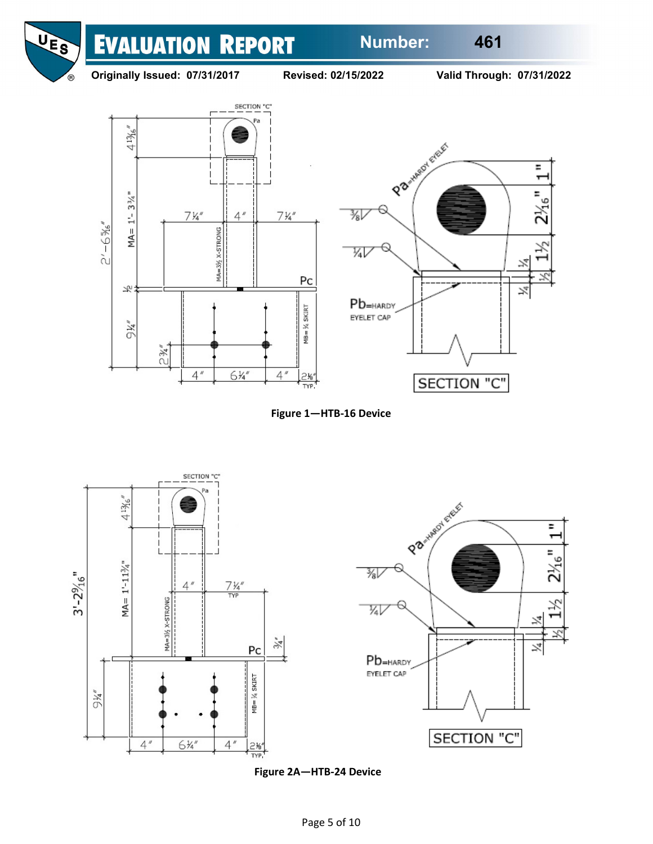

**Originally Issued: 07/31/2017 Revised: 02/15/2022 Valid Through: 07/31/2022**









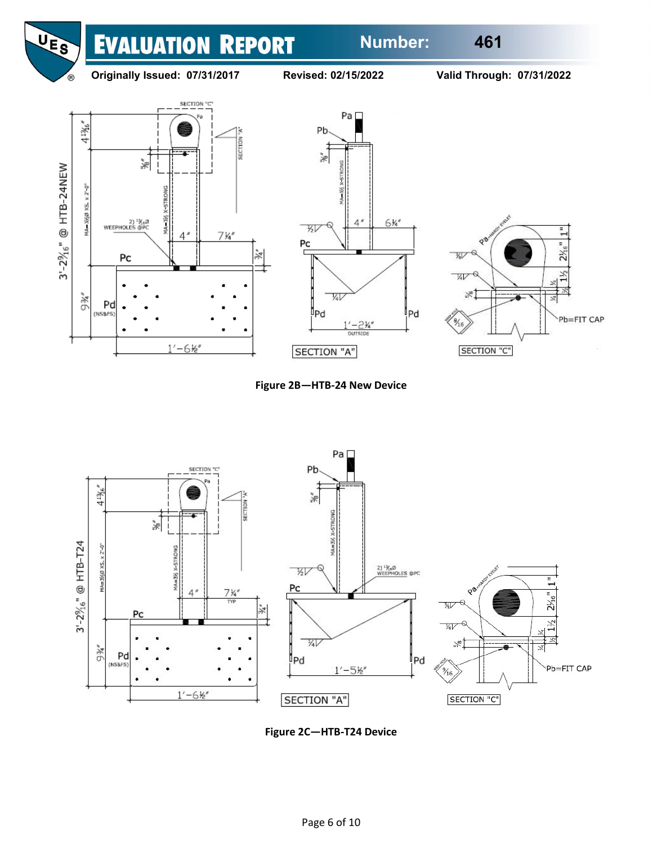# **Number: 461**





**Originally Issued: 07/31/2017 Revised: 02/15/2022 Valid Through: 07/31/2022**











**Figure 2C—HTB-T24 Device**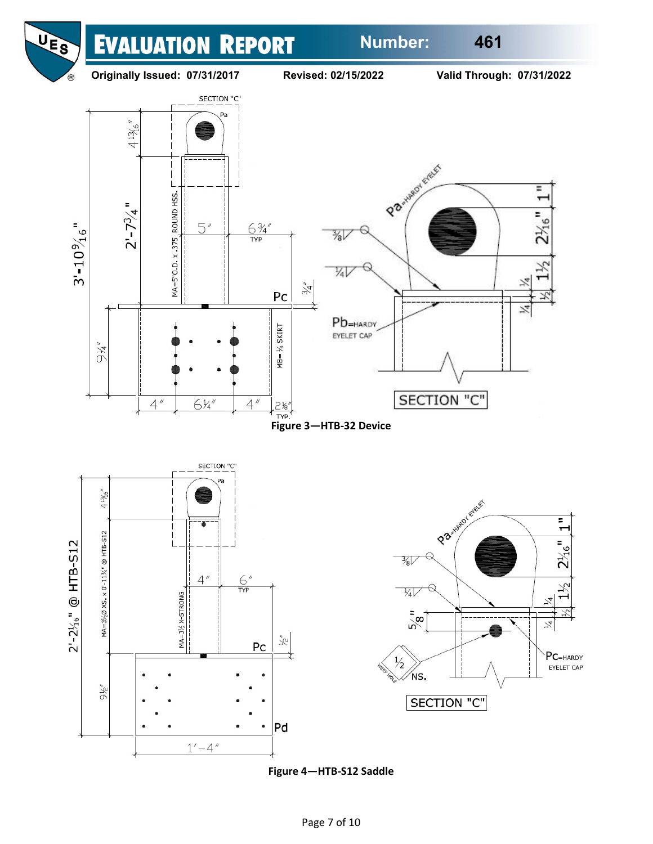





**Figure 4—HTB-S12 Saddle**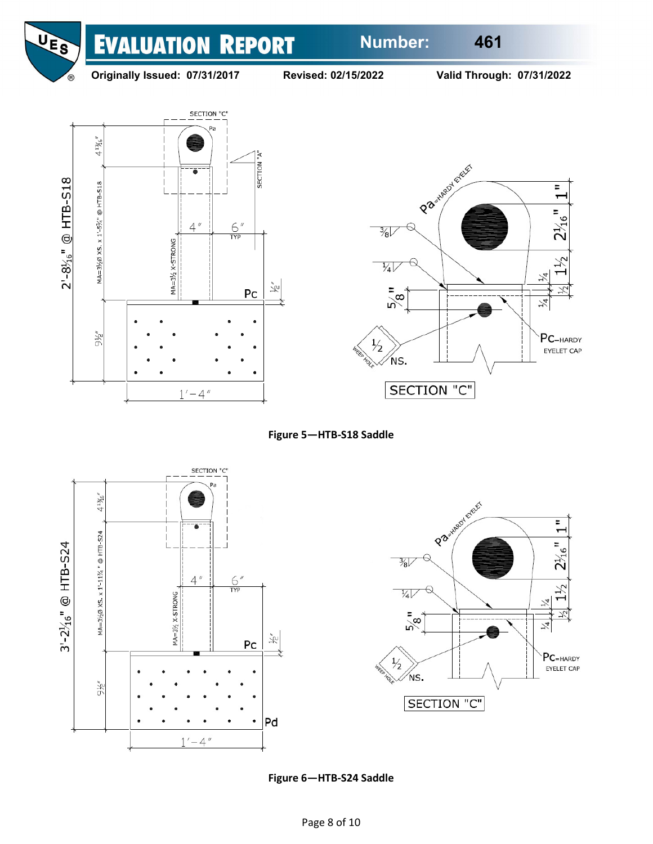

## **Originally Issued: 07/31/2017 Revised: 02/15/2022 Valid Through: 07/31/2022**











**Figure 6—HTB-S24 Saddle**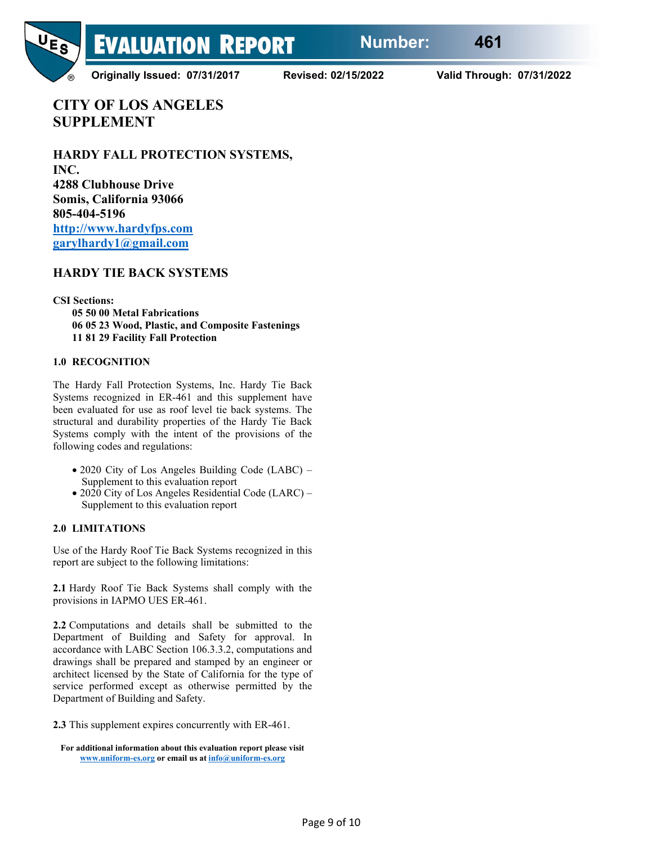

**Originally Issued: 07/31/2017 Revised: 02/15/2022 Valid Through: 07/31/2022**

**CITY OF LOS ANGELES SUPPLEMENT**

**HARDY FALL PROTECTION SYSTEMS, INC. 4288 Clubhouse Drive Somis, California 93066 805-404-5196 [http://www.hardyfps.com](http://www.hardyfps.com/) [garylhardy1@gmail.com](mailto:garylhardy1@gmail.com)**

# **HARDY TIE BACK SYSTEMS**

**CSI Sections:**

**05 50 00 Metal Fabrications 06 05 23 Wood, Plastic, and Composite Fastenings 11 81 29 Facility Fall Protection**

#### **1.0 RECOGNITION**

The Hardy Fall Protection Systems, Inc. Hardy Tie Back Systems recognized in ER-461 and this supplement have been evaluated for use as roof level tie back systems. The structural and durability properties of the Hardy Tie Back Systems comply with the intent of the provisions of the following codes and regulations:

- 2020 City of Los Angeles Building Code (LABC) Supplement to this evaluation report
- 2020 City of Los Angeles Residential Code (LARC) Supplement to this evaluation report

#### **2.0 LIMITATIONS**

Use of the Hardy Roof Tie Back Systems recognized in this report are subject to the following limitations:

**2.1** Hardy Roof Tie Back Systems shall comply with the provisions in IAPMO UES ER-461.

**2.2** Computations and details shall be submitted to the Department of Building and Safety for approval. In accordance with LABC Section 106.3.3.2, computations and drawings shall be prepared and stamped by an engineer or architect licensed by the State of California for the type of service performed except as otherwise permitted by the Department of Building and Safety.

**2.3** This supplement expires concurrently with ER-461.

**For additional information about this evaluation report please visit [www.uniform-es.org](http://www.uniform-es.org/) or email us a[t info@uniform-es.org](mailto:info@uniform-es.org)**